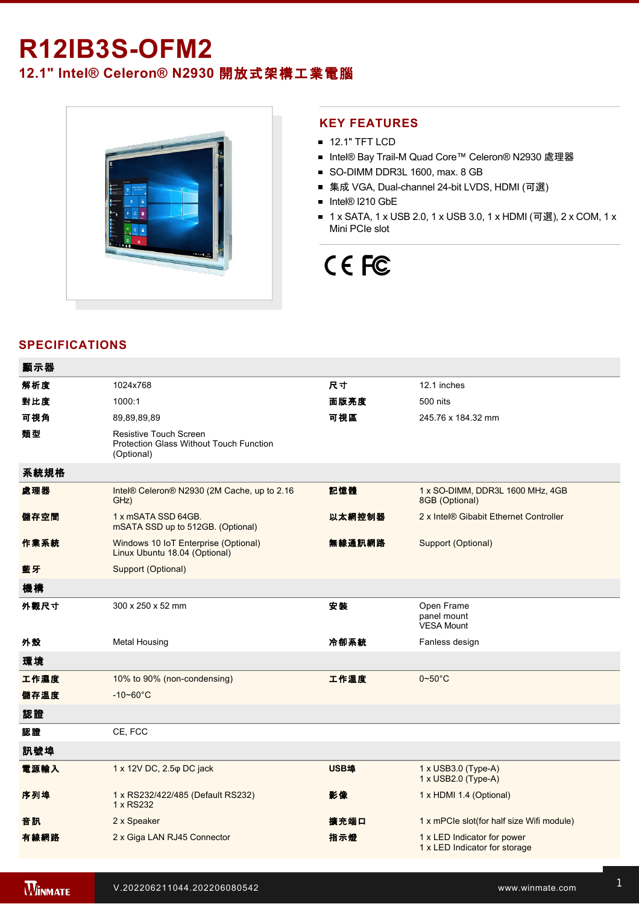## **R12IB3S-OFM2**

### **12.1" Intel® Celeron® N2930** 開放式架構工業電腦



#### **KEY FEATURES**

- **12.1" TFT LCD**
- Intel® Bay Trail-M Quad Core™ Celeron® N2930 處理器
- SO-DIMM DDR3L 1600, max. 8 GB
- 集成 VGA, Dual-channel 24-bit LVDS, HDMI (可選)
- Intel® I210 GbE
- 1 x SATA, 1 x USB 2.0, 1 x USB 3.0, 1 x HDMI (可選), 2 x COM, 1 x Mini PCIe slot

# CE FC

#### **SPECIFICATIONS**

| 顯示器  |                                                                                        |             |                                                              |
|------|----------------------------------------------------------------------------------------|-------------|--------------------------------------------------------------|
| 解析度  | 1024x768                                                                               | 尺寸          | 12.1 inches                                                  |
| 對比度  | 1000:1                                                                                 | 面版亮度        | 500 nits                                                     |
| 可視角  | 89,89,89,89                                                                            | 可視區         | 245.76 x 184.32 mm                                           |
| 類型   | <b>Resistive Touch Screen</b><br>Protection Glass Without Touch Function<br>(Optional) |             |                                                              |
| 系統規格 |                                                                                        |             |                                                              |
| 處理器  | Intel® Celeron® N2930 (2M Cache, up to 2.16<br>GHz)                                    | 記憶體         | 1 x SO-DIMM, DDR3L 1600 MHz, 4GB<br>8GB (Optional)           |
| 儲存空間 | 1 x mSATA SSD 64GB.<br>mSATA SSD up to 512GB. (Optional)                               | 以太網控制器      | 2 x Intel® Gibabit Ethernet Controller                       |
| 作業系統 | Windows 10 IoT Enterprise (Optional)<br>Linux Ubuntu 18.04 (Optional)                  | 無線通訊網路      | Support (Optional)                                           |
| 藍牙   | Support (Optional)                                                                     |             |                                                              |
| 機構   |                                                                                        |             |                                                              |
| 外觀尺寸 | 300 x 250 x 52 mm                                                                      | 安裝          | Open Frame<br>panel mount<br><b>VESA Mount</b>               |
| 外殼   | <b>Metal Housing</b>                                                                   | 冷卻系統        | Fanless design                                               |
| 環境   |                                                                                        |             |                                                              |
| 工作濕度 | 10% to 90% (non-condensing)                                                            | 工作溫度        | $0 - 50$ °C                                                  |
| 儲存溫度 | $-10 - 60^{\circ}$ C                                                                   |             |                                                              |
| 認證   |                                                                                        |             |                                                              |
| 認證   | CE, FCC                                                                                |             |                                                              |
| 訊號埠  |                                                                                        |             |                                                              |
| 電源輸入 | 1 x 12V DC, 2.5 $\varphi$ DC jack                                                      | <b>USB埠</b> | $1 \times$ USB3.0 (Type-A)<br>1 x USB2.0 (Type-A)            |
| 序列埠  | 1 x RS232/422/485 (Default RS232)<br>1 x RS232                                         | 影像          | 1 x HDMI 1.4 (Optional)                                      |
| 音訊   | 2 x Speaker                                                                            | 擴充端口        | 1 x mPCle slot(for half size Wifi module)                    |
| 有線網路 | 2 x Giga LAN RJ45 Connector                                                            | 指示燈         | 1 x LED Indicator for power<br>1 x LED Indicator for storage |